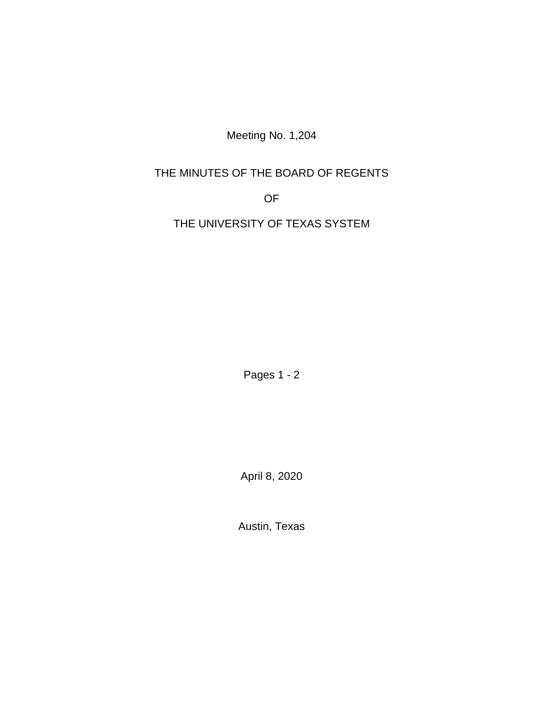Meeting No. 1,204

## THE MINUTES OF THE BOARD OF REGENTS

OF

THE UNIVERSITY OF TEXAS SYSTEM

Pages 1 - 2

April 8, 2020

Austin, Texas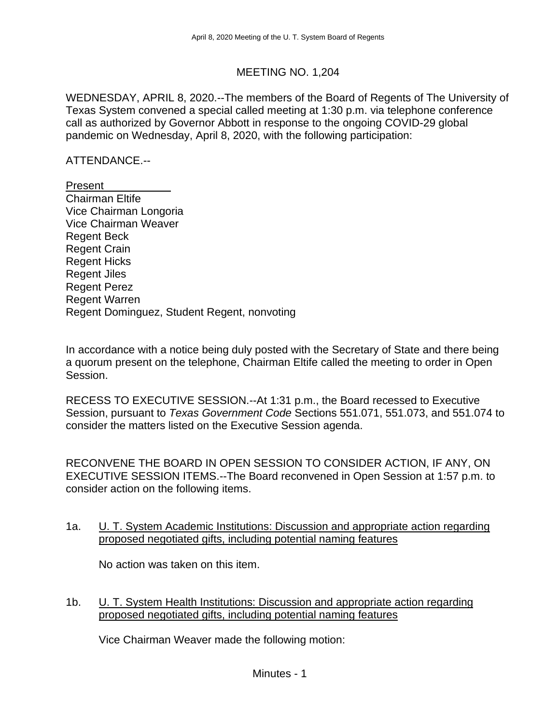## MEETING NO. 1,204

WEDNESDAY, APRIL 8, 2020.--The members of the Board of Regents of The University of Texas System convened a special called meeting at 1:30 p.m. via telephone conference call as authorized by Governor Abbott in response to the ongoing COVID-29 global pandemic on Wednesday, April 8, 2020, with the following participation:

ATTENDANCE.--

Present Chairman Eltife Vice Chairman Longoria Vice Chairman Weaver Regent Beck Regent Crain Regent Hicks Regent Jiles Regent Perez Regent Warren Regent Dominguez, Student Regent, nonvoting

In accordance with a notice being duly posted with the Secretary of State and there being a quorum present on the telephone, Chairman Eltife called the meeting to order in Open Session.

RECESS TO EXECUTIVE SESSION.--At 1:31 p.m., the Board recessed to Executive Session, pursuant to *Texas Government Code* Sections 551.071, 551.073, and 551.074 to consider the matters listed on the Executive Session agenda.

RECONVENE THE BOARD IN OPEN SESSION TO CONSIDER ACTION, IF ANY, ON EXECUTIVE SESSION ITEMS.--The Board reconvened in Open Session at 1:57 p.m. to consider action on the following items.

1a. U. T. System Academic Institutions: Discussion and appropriate action regarding proposed negotiated gifts, including potential naming features

No action was taken on this item.

1b. **U. T. System Health Institutions: Discussion and appropriate action regarding** proposed negotiated gifts, including potential naming features

Vice Chairman Weaver made the following motion: